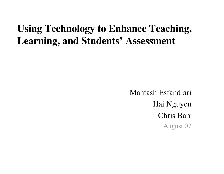## **Using Technology to Enhance Teaching, Learning, and Students' Assessment**

Mahtash Esfandiari Hai Nguyen Chris Barr August 07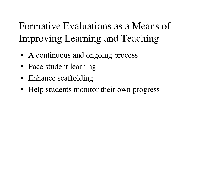# Formative Evaluations as a Means of Improving Learning and Teaching

- A continuous and ongoing process
- Pace student learning
- Enhance scaffolding
- Help students monitor their own progress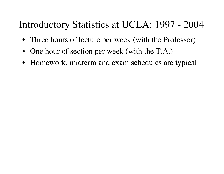## Introductory Statistics at UCLA: 1997 - 2004

- Three hours of lecture per week (with the Professor)
- One hour of section per week (with the T.A.)
- Homework, midterm and exam schedules are typical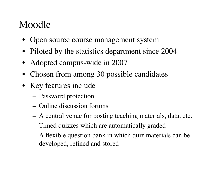# Moodle

- Open source course management system
- Piloted by the statistics department since 2004
- Adopted campus-wide in 2007
- Chosen from among 30 possible candidates
- Key features include
	- Password protection
	- Online discussion forums
	- A central venue for posting teaching materials, data, etc.
	- Timed quizzes which are automatically graded
	- A flexible question bank in which quiz materials can be developed, refined and stored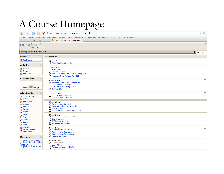# A Course Homepage

| $\mathfrak{D}$                                                                                                                             | Tn http://moodle.stat.ucla.edu/course/view.php?id=121                                                                                                                | $\overline{\phantom{a}}$ $\circ$ ( |  |  |
|--------------------------------------------------------------------------------------------------------------------------------------------|----------------------------------------------------------------------------------------------------------------------------------------------------------------------|------------------------------------|--|--|
| chrisbarr google google.news google.scholar asa.jobs registrar web.of.science florida.jobs australian.jobs or.jobs math.jobs industry.jobs |                                                                                                                                                                      |                                    |  |  |
| Gmail - Inbox                                                                                                                              | Th Course: Statistics 10, Lecture 3 In                                                                                                                               |                                    |  |  |
| Department of<br>Statistics<br>Collaborative Learning Portal                                                                               |                                                                                                                                                                      | You a                              |  |  |
| LearningPortal ▶ Stat10Lec3-07S                                                                                                            |                                                                                                                                                                      | 3 Switch role to                   |  |  |
| People                                                                                                                                     | <b>Weekly outline</b>                                                                                                                                                |                                    |  |  |
| <b>】Participants</b>                                                                                                                       | <b>J.</b> News forum<br>https://exam.guideLines                                                                                                                      |                                    |  |  |
| $\Box$<br><b>Activities</b><br><b>SE</b> Forums<br>Quizzes<br>Resources                                                                    | 1 April 7 April<br>Practice quiz<br>Syllabus Fall 2006<br>Week 1-3 supplemental handouts Spring 2007<br>Homework 1 due Thursday April 12th                           | $\Box$                             |  |  |
| <b>Search Forums</b><br>Go<br>Advanced search (?)                                                                                          | 8 April 14 April<br>Supplemental handouts for weeks 1-3<br>Quiz 1 Attempt 1 Spring 07<br>Quiz 1 Attempt 2 Spring 2007<br>Syllabus S 07                               | $\Box$                             |  |  |
| <b>Administration</b><br>■ Turn editing on<br><b>B</b> Settings                                                                            | 15 April 21 April<br>Quiz 2 attempt 1 Spring 07<br>$\sqrt{ }$ Quiz 2 attempt 2 Spring 07                                                                             | $\Box$                             |  |  |
| <b>g</b> <sup>@</sup> Assign roles<br><b>in</b> Groups<br>Backup<br>Restore<br>mport                                                       | 22 April 28 April<br>Review midterm Spring 07<br>Supplemental handouts weeks 4-7<br>$\sqrt{ }$ Quiz 3 attempt 1<br>$\sqrt{ }$ Quiz 3 Attempt 1 - open ended question | $\Box$                             |  |  |
| Reset<br>$\nu$ Reports<br><b>Pri</b> Questions<br><b>d</b> Scales<br>Files                                                                 | 29 April 5 May<br>Check your score for Quiz 3 Attempt 1<br>Quiz 3 Attempt 2<br>$\sqrt{ }$ Q3A2 essay question<br>Midterm review answers                              | $\Box$                             |  |  |
| <b>R</b> Grades<br>Unenrol me from<br>Stat10Lec3-07S<br>$\Box$<br><b>My courses</b>                                                        | 6 May 12 May<br>Midterm review answers F06<br>Rubric for Q1A1 free response<br>Rubric for Q1A2 free response<br>Week 6-7 handouts                                    | $\Box$                             |  |  |
| <b>De Statistics 10, Lecture 3</b><br><b>Introduction to Statistical</b><br>Reasoning<br>Statistics 110A, Lecture                          | 13 May 19 May<br>Midterm answers<br>◯ Quiz 4 Attempt 1<br>◯ Practice quiz on probabilityTh<br><b>Th</b> probability practice quiz apouver                            | $\Box$                             |  |  |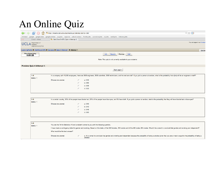## An Online Quiz

| $\frac{1}{2}$                      | $\overline{\mathbf{v}}$ $\odot$ $\overline{\mathbf{G}}$<br>Tn http://moodle.stat.ucla.edu/mod/quiz/attempt.php?q=589                                                                                                                                  |            |         |                                                                                                                                                                                                                           |  |
|------------------------------------|-------------------------------------------------------------------------------------------------------------------------------------------------------------------------------------------------------------------------------------------------------|------------|---------|---------------------------------------------------------------------------------------------------------------------------------------------------------------------------------------------------------------------------|--|
| chrisbarr                          | google google.news google.scholar asa.jobs registrar web.of.science florida.jobs australian.jobs or.jobs math.jobs industry.jobs                                                                                                                      |            |         |                                                                                                                                                                                                                           |  |
| Gmail - Inbox<br>M                 | Tn Stat10Lec3-07S: Quiz 4 Attempt 1                                                                                                                                                                                                                   |            |         |                                                                                                                                                                                                                           |  |
| Department of<br><b>Statistics</b> | Collaborative Learning Portal                                                                                                                                                                                                                         |            |         | You are logged in as Christop!                                                                                                                                                                                            |  |
|                                    | LearningPortal > Stat10Lec3-07S > Quizzes > Quiz 4 Attempt 1 > Attempt 1                                                                                                                                                                              |            |         | Update                                                                                                                                                                                                                    |  |
| <b>Time Remaining</b><br>0:59:25   |                                                                                                                                                                                                                                                       |            |         | Info<br><b>Results</b><br>Preview<br>Edit                                                                                                                                                                                 |  |
|                                    |                                                                                                                                                                                                                                                       |            |         | Note: This quiz is not currently available to your students                                                                                                                                                               |  |
| <b>Preview Quiz 4 Attempt 1</b>    |                                                                                                                                                                                                                                                       |            |         |                                                                                                                                                                                                                           |  |
|                                    |                                                                                                                                                                                                                                                       |            |         | Start again                                                                                                                                                                                                               |  |
| 1 <sub>5</sub><br>Marks: 1         |                                                                                                                                                                                                                                                       |            |         | In a company with 10,000 employees, there are 3000 engineers, 2000 scientists, 2000 technicians, and the rest are staff. If you pick a person at random, what is the probability that s(he) will be an engineer or staff? |  |
|                                    | Choose one answer.                                                                                                                                                                                                                                    | C          | a. 0.30 |                                                                                                                                                                                                                           |  |
|                                    |                                                                                                                                                                                                                                                       | c          | b. 0.60 |                                                                                                                                                                                                                           |  |
|                                    |                                                                                                                                                                                                                                                       | €          | c. 0.06 |                                                                                                                                                                                                                           |  |
|                                    |                                                                                                                                                                                                                                                       | c          | d. 0.50 |                                                                                                                                                                                                                           |  |
|                                    |                                                                                                                                                                                                                                                       |            |         |                                                                                                                                                                                                                           |  |
| 2 <sub>5</sub><br>Marks: 1         |                                                                                                                                                                                                                                                       |            |         | In a certain country, 30% of the people have blonde hair, 20% of the people have blue eyes, and 5% have both. If you pick a person at random, what is the probability that they will have blonde hair or blue eyes?       |  |
|                                    | Choose one answer.                                                                                                                                                                                                                                    |            | a. 0.50 |                                                                                                                                                                                                                           |  |
|                                    |                                                                                                                                                                                                                                                       | $\sqrt{2}$ | b. 0.40 |                                                                                                                                                                                                                           |  |
|                                    |                                                                                                                                                                                                                                                       | c          | c. 0.45 |                                                                                                                                                                                                                           |  |
|                                    |                                                                                                                                                                                                                                                       | C          | d. 0.60 |                                                                                                                                                                                                                           |  |
|                                    |                                                                                                                                                                                                                                                       |            |         |                                                                                                                                                                                                                           |  |
| 3 <sub>1</sub>                     |                                                                                                                                                                                                                                                       |            |         |                                                                                                                                                                                                                           |  |
| Marks: 1                           | You are the TA for Statistics 10 and a student comes to you with the following question,                                                                                                                                                              |            |         |                                                                                                                                                                                                                           |  |
|                                    | I have made a contingency table for gender and smoking. Based on this table, of the 500 females, 250 smoke and of the 400 males 200 smoke. Would it be correct to conclude that gender and smoking are independent?<br>What would be the best answer? |            |         |                                                                                                                                                                                                                           |  |
|                                    |                                                                                                                                                                                                                                                       |            |         |                                                                                                                                                                                                                           |  |

Choose one answer. a. It is correct to conclude that gender and smoking are independent becasue the probability of being a smoker given that you are a male is equal to the probability of being a smoker.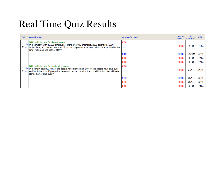## Real Time Quiz Results

|                | $Q#$ $\Box$ Question text $\Box$                                                                                                                                                                                                                                                                            | Answer's text - | partial | R.<br>credit $\Box$ Counts $\Box$ R.% $\Box$ |       |
|----------------|-------------------------------------------------------------------------------------------------------------------------------------------------------------------------------------------------------------------------------------------------------------------------------------------------------------|-----------------|---------|----------------------------------------------|-------|
| (2217)<br>iE Q | Q4A1 addition rule for disjoint events :<br>In a company with 10,000 employees, there are 3000 engineers, 2000 scientists, 2000<br>technicians, and the rest are staff. If you pick a person at random, what is the probability that<br>s(he) will be an engineer or staff?                                 | 0.30            | (0.00)  | 2/141                                        | (1%)  |
|                |                                                                                                                                                                                                                                                                                                             | 0.60            | (1.00)  | 129/141                                      | (91%) |
|                |                                                                                                                                                                                                                                                                                                             | 0.50            | (0.00)  | 3/141                                        | (2%)  |
|                |                                                                                                                                                                                                                                                                                                             | 0.06            | (0.00)  | 3/141                                        | (2%)  |
|                | Q4A1 addition rule for overlapping events :<br>(2218) In a certain country, 30% of the people have blonde hair, 20% of the people have blue eyes,<br>$\mathbf{F} \in \mathbb{Q}$ and 5% have both. If you pick a person at random, what is the probability that they will have<br>blonde hair or blue eyes? | 0.50            | (0.00)  | 24/141                                       | (17%) |
|                |                                                                                                                                                                                                                                                                                                             | 0.45            | (1.00)  | 80/141                                       | (57%) |
|                |                                                                                                                                                                                                                                                                                                             | 0.40            | (0.00)  | 29/141                                       | (21%) |
|                |                                                                                                                                                                                                                                                                                                             | 0.60            | (0.00)  | 4/141                                        | (3%)  |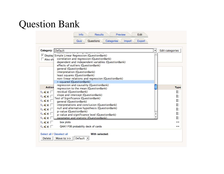## Question Bank

| <b>Results</b><br>Info<br>Questions<br>Quiz                                                                                                                                                                                                                                                                          | Preview<br>Edit<br>Categories<br>Export<br>Import |                                    |  |  |
|----------------------------------------------------------------------------------------------------------------------------------------------------------------------------------------------------------------------------------------------------------------------------------------------------------------------|---------------------------------------------------|------------------------------------|--|--|
| Category: Default<br>Display Simple Linear Regression (QuestionBank)<br>correlation and regression (QuestionBank)<br>Also sh<br>dependent and independent variables (QuestionBank)<br>effects of outliers (QuestionBank)                                                                                             | <b>Edit categories</b><br>$\blacktriangledown$    |                                    |  |  |
| general (QuestionBank)<br>interpretation (QuestionBank)<br>least squares (QuestionBank)<br>non-linear relations and regression (QuestionBank)<br>r-squared (QuestionBank)<br>regression and causality (QuestionBank)<br><b>Action</b>                                                                                |                                                   |                                    |  |  |
| regression to the mean (QuestionBank)<br>residual (QuestionBank)<br>Q≰X∏<br>slope and intercept (QuestionBank)<br>RKKE<br>Test of Significance (QuestionBank)<br>$Q \leqslant \times \Box$<br>general (QuestionBank)                                                                                                 |                                                   | <b>Type</b><br>፧≘<br>፧<br>፧Ξ<br>፧Ξ |  |  |
| interpretations and conclusion (QuestionBank)<br>$Q \leqslant \times \Box$<br>null and alternative hypothesis (QuestionBank)<br>፧Ξ<br>QAXI<br>p-value (QuestionBank)<br>፧Ξ<br>Q≼x∏<br>p-value and significance level (QuestionBank)<br>፧Ξ<br>$Q \leqslant \times \Box$<br>parameter and statistic (QuestionBank)<br> |                                                   |                                    |  |  |
| $\triangle$ K $\times$ $\Box$<br>box plots<br>QKXI<br>Q4A1 F06 probability deck of cards                                                                                                                                                                                                                             |                                                   |                                    |  |  |
| Select all / Deselect all<br>With selected:<br>Default -<br>Delete<br>Move to $>>$                                                                                                                                                                                                                                   |                                                   |                                    |  |  |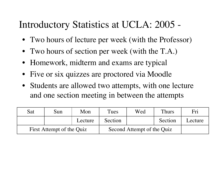## Introductory Statistics at UCLA: 2005 -

- Two hours of lecture per week (with the Professor)
- Two hours of section per week (with the T.A.)
- Homework, midterm and exams are typical
- Five or six quizzes are proctored via Moodle
- Students are allowed two attempts, with one lecture and one section meeting in between the attempts

| Sat                       | Sun | Mon     | Tues    | Wed                        | <b>Thurs</b> | Fri     |
|---------------------------|-----|---------|---------|----------------------------|--------------|---------|
|                           |     | Lecture | Section |                            | Section      | Lecture |
| First Attempt of the Quiz |     |         |         | Second Attempt of the Quiz |              |         |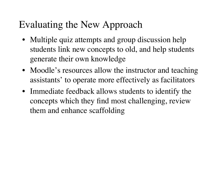## Evaluating the New Approach

- Multiple quiz attempts and group discussion help students link new concepts to old, and help students generate their own knowledge
- Moodle's resources allow the instructor and teaching assistants' to operate more effectively as facilitators
- Immediate feedback allows students to identify the concepts which they find most challenging, review them and enhance scaffolding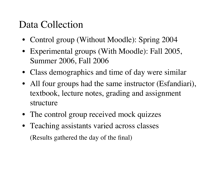## Data Collection

- Control group (Without Moodle): Spring 2004
- Experimental groups (With Moodle): Fall 2005, Summer 2006, Fall 2006
- Class demographics and time of day were similar
- All four groups had the same instructor (Esfandiari), textbook, lecture notes, grading and assignment structure
- The control group received mock quizzes
- Teaching assistants varied across classes (Results gathered the day of the final)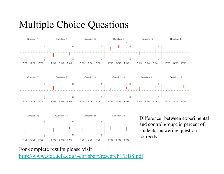## Multiple Choice Questions



For complete results please visit http://www.stat.ucla.edu/~chrisbarr/research1/EBS.pdf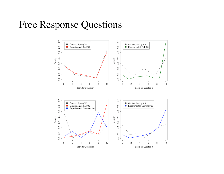#### Free Response Questions

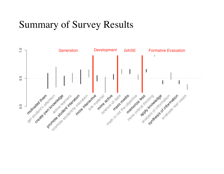### Summary of Survey Results

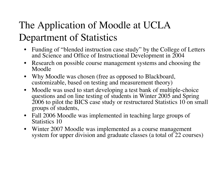# The Application of Moodle at UCLA Department of Statistics

- Funding of "blended instruction case study" by the College of Letters and Science and Office of Instructional Development in 2004
- Research on possible course management systems and choosing the Moodle
- Why Moodle was chosen (free as opposed to Blackboard, customizable, based on testing and measurement theory)
- Moodle was used to start developing a test bank of multiple-choice questions and on line testing of students in Winter 2005 and Spring 2006 to pilot the BICS case study or restructured Statistics 10 on small groups of students,
- Fall 2006 Moodle was implemented in teaching large groups of Statistics 10
- Winter 2007 Moodle was implemented as a course management system for upper division and graduate classes (a total of 22 courses)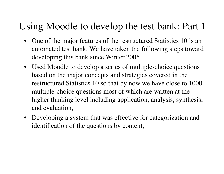## Using Moodle to develop the test bank: Part 1

- One of the major features of the restructured Statistics 10 is an automated test bank. We have taken the following steps toward developing this bank since Winter 2005
- Used Moodle to develop a series of multiple-choice questions based on the major concepts and strategies covered in the restructured Statistics 10 so that by now we have close to 1000 multiple-choice questions most of which are written at the higher thinking level including application, analysis, synthesis, and evaluation,
- Developing a system that was effective for categorization and identification of the questions by content,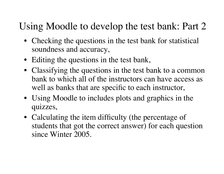# Using Moodle to develop the test bank: Part 2

- Checking the questions in the test bank for statistical soundness and accuracy,
- Editing the questions in the test bank,
- Classifying the questions in the test bank to a common bank to which all of the instructors can have access as well as banks that are specific to each instructor,
- Using Moodle to includes plots and graphics in the quizzes,
- Calculating the item difficulty (the percentage of students that got the correct answer) for each question since Winter 2005.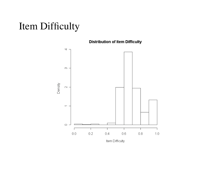## Item Difficulty

**Distribution of Item Difficulty** 

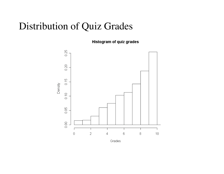### Distribution of Quiz Grades

**Histogram of quiz grades** 

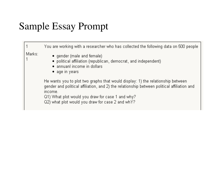# Sample Essay Prompt

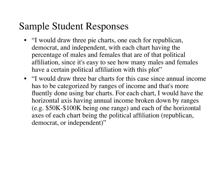## Sample Student Responses

- "I would draw three pie charts, one each for republican, democrat, and independent, with each chart having the percentage of males and females that are of that political affiliation, since it's easy to see how many males and females have a certain political affiliation with this plot"
- "I would draw three bar charts for this case since annual income has to be categorized by ranges of income and that's more fluently done using bar charts. For each chart, I would have the horizontal axis having annual income broken down by ranges (e.g. \$50K-\$100K being one range) and each of the horizontal axes of each chart being the political affiliation (republican, democrat, or independent)"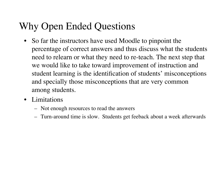# Why Open Ended Questions

- So far the instructors have used Moodle to pinpoint the percentage of correct answers and thus discuss what the students need to relearn or what they need to re-teach. The next step that we would like to take toward improvement of instruction and student learning is the identification of students' misconceptions and specially those misconceptions that are very common among students.
- Limitations
	- Not enough resources to read the answers
	- Turn-around time is slow. Students get feeback about a week afterwards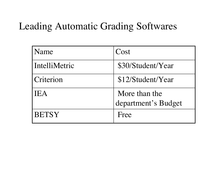## Leading Automatic Grading Softwares

| <b>Name</b>   | Cost                                 |
|---------------|--------------------------------------|
| IntelliMetric | \$30/Student/Year                    |
| Criterion     | \$12/Student/Year                    |
| <b>IIEA</b>   | More than the<br>department's Budget |
| <b>BETSY</b>  | Free                                 |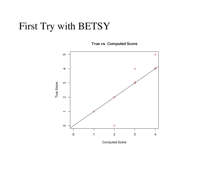## First Try with BETSY

**True vs. Computed Score** 



**Computed Score**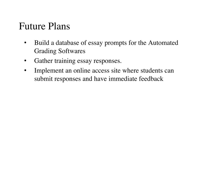### Future Plans

- Build a database of essay prompts for the Automated Grading Softwares
- Gather training essay responses.
- Implement an online access site where students can submit responses and have immediate feedback